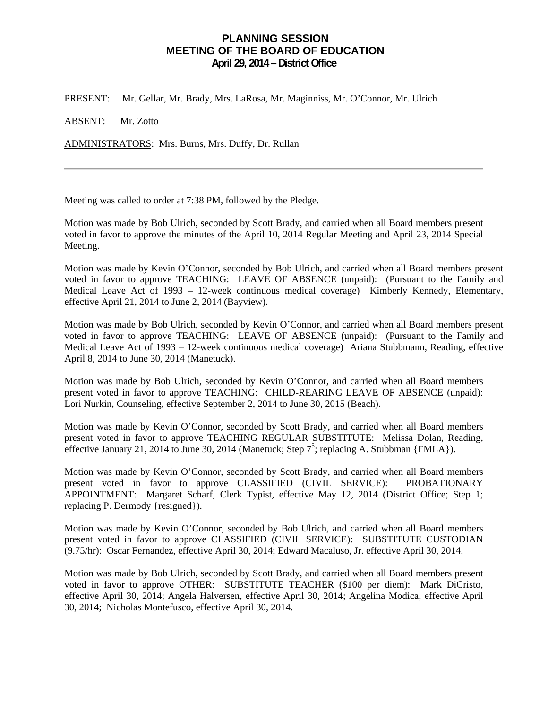## **PLANNING SESSION MEETING OF THE BOARD OF EDUCATION April 29, 2014 – District Office**

PRESENT: Mr. Gellar, Mr. Brady, Mrs. LaRosa, Mr. Maginniss, Mr. O'Connor, Mr. Ulrich

ABSENT: Mr. Zotto

ADMINISTRATORS: Mrs. Burns, Mrs. Duffy, Dr. Rullan

Meeting was called to order at 7:38 PM, followed by the Pledge.

Motion was made by Bob Ulrich, seconded by Scott Brady, and carried when all Board members present voted in favor to approve the minutes of the April 10, 2014 Regular Meeting and April 23, 2014 Special Meeting.

Motion was made by Kevin O'Connor, seconded by Bob Ulrich, and carried when all Board members present voted in favor to approve TEACHING: LEAVE OF ABSENCE (unpaid): (Pursuant to the Family and Medical Leave Act of 1993 – 12-week continuous medical coverage) Kimberly Kennedy, Elementary, effective April 21, 2014 to June 2, 2014 (Bayview).

Motion was made by Bob Ulrich, seconded by Kevin O'Connor, and carried when all Board members present voted in favor to approve TEACHING: LEAVE OF ABSENCE (unpaid): (Pursuant to the Family and Medical Leave Act of 1993 – 12-week continuous medical coverage) Ariana Stubbmann, Reading, effective April 8, 2014 to June 30, 2014 (Manetuck).

Motion was made by Bob Ulrich, seconded by Kevin O'Connor, and carried when all Board members present voted in favor to approve TEACHING: CHILD-REARING LEAVE OF ABSENCE (unpaid): Lori Nurkin, Counseling, effective September 2, 2014 to June 30, 2015 (Beach).

Motion was made by Kevin O'Connor, seconded by Scott Brady, and carried when all Board members present voted in favor to approve TEACHING REGULAR SUBSTITUTE: Melissa Dolan, Reading, effective January 21, 2014 to June 30, 2014 (Manetuck; Step  $7^5$ ; replacing A. Stubbman {FMLA}).

Motion was made by Kevin O'Connor, seconded by Scott Brady, and carried when all Board members present voted in favor to approve CLASSIFIED (CIVIL SERVICE): PROBATIONARY APPOINTMENT: Margaret Scharf, Clerk Typist, effective May 12, 2014 (District Office; Step 1; replacing P. Dermody {resigned}).

Motion was made by Kevin O'Connor, seconded by Bob Ulrich, and carried when all Board members present voted in favor to approve CLASSIFIED (CIVIL SERVICE): SUBSTITUTE CUSTODIAN (9.75/hr): Oscar Fernandez, effective April 30, 2014; Edward Macaluso, Jr. effective April 30, 2014.

Motion was made by Bob Ulrich, seconded by Scott Brady, and carried when all Board members present voted in favor to approve OTHER: SUBSTITUTE TEACHER (\$100 per diem): Mark DiCristo, effective April 30, 2014; Angela Halversen, effective April 30, 2014; Angelina Modica, effective April 30, 2014; Nicholas Montefusco, effective April 30, 2014.